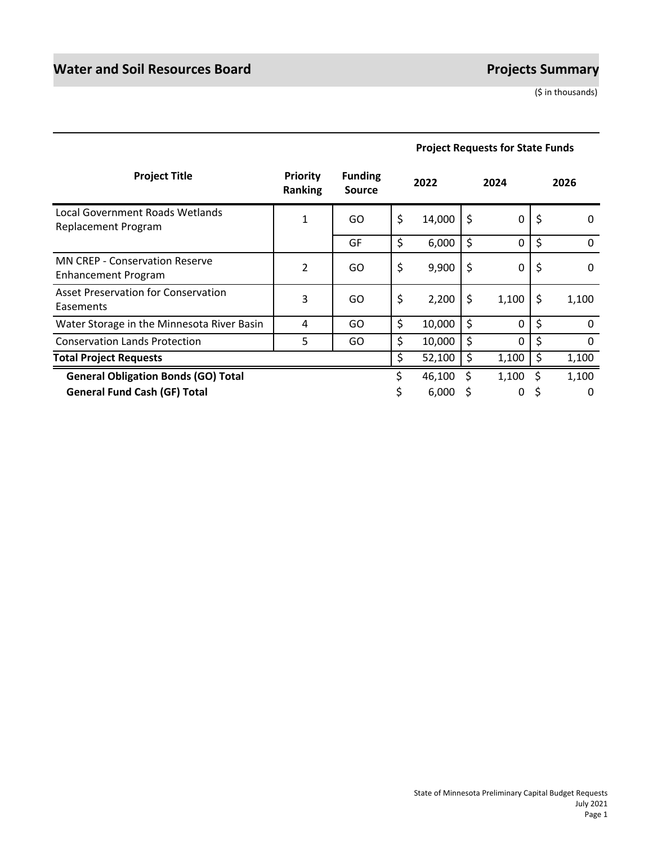|                                                              |                                   |                                 | <b>Project Requests for State Funds</b> |        |    |       |    |          |
|--------------------------------------------------------------|-----------------------------------|---------------------------------|-----------------------------------------|--------|----|-------|----|----------|
| <b>Project Title</b>                                         | <b>Priority</b><br><b>Ranking</b> | <b>Funding</b><br><b>Source</b> |                                         | 2022   |    | 2024  |    | 2026     |
| Local Government Roads Wetlands<br>Replacement Program       | $\mathbf{1}$                      | GO                              | \$                                      | 14,000 | \$ | 0     | \$ | 0        |
|                                                              |                                   | GF                              | \$                                      | 6,000  | \$ | 0     | \$ | 0        |
| <b>MN CREP - Conservation Reserve</b><br>Enhancement Program | $\overline{2}$                    | GO                              | \$                                      | 9,900  | \$ | 0     | \$ | $\Omega$ |
| Asset Preservation for Conservation<br>Easements             | 3                                 | GO                              | \$                                      | 2,200  | \$ | 1,100 | \$ | 1,100    |
| Water Storage in the Minnesota River Basin                   | 4                                 | GO                              | \$                                      | 10,000 | \$ | 0     | \$ | 0        |
| <b>Conservation Lands Protection</b>                         | 5                                 | GO.                             | \$                                      | 10,000 | \$ | 0     | \$ | 0        |
| <b>Total Project Requests</b>                                |                                   |                                 | \$                                      | 52,100 | \$ | 1,100 | \$ | 1,100    |
| <b>General Obligation Bonds (GO) Total</b>                   |                                   |                                 |                                         | 46,100 | S  | 1,100 | Ś  | 1,100    |
| <b>General Fund Cash (GF) Total</b>                          |                                   |                                 |                                         | 6,000  | S  | 0     | S  | 0        |

#### Page 1 State of Minnesota Preliminary Capital Budget Requests July 2021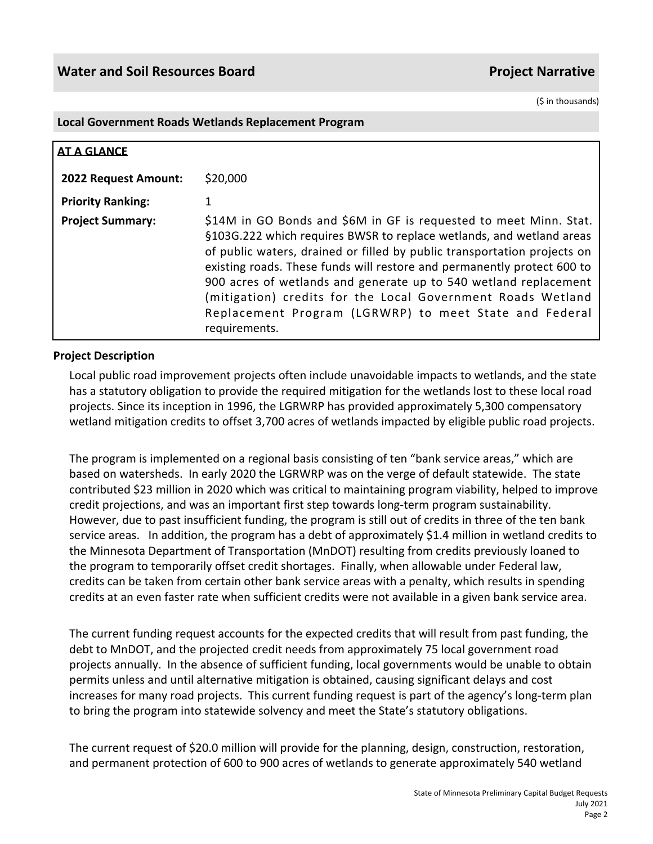#### **Local Government Roads Wetlands Replacement Program**

| AT A GLANCE              |                                                                                                                                                                                                                                                                                                                                                                                                                                                                                                                |
|--------------------------|----------------------------------------------------------------------------------------------------------------------------------------------------------------------------------------------------------------------------------------------------------------------------------------------------------------------------------------------------------------------------------------------------------------------------------------------------------------------------------------------------------------|
| 2022 Request Amount:     | \$20,000                                                                                                                                                                                                                                                                                                                                                                                                                                                                                                       |
| <b>Priority Ranking:</b> |                                                                                                                                                                                                                                                                                                                                                                                                                                                                                                                |
| <b>Project Summary:</b>  | \$14M in GO Bonds and \$6M in GF is requested to meet Minn. Stat.<br>§103G.222 which requires BWSR to replace wetlands, and wetland areas<br>of public waters, drained or filled by public transportation projects on<br>existing roads. These funds will restore and permanently protect 600 to<br>900 acres of wetlands and generate up to 540 wetland replacement<br>(mitigation) credits for the Local Government Roads Wetland<br>Replacement Program (LGRWRP) to meet State and Federal<br>requirements. |

# **Project Description**

Local public road improvement projects often include unavoidable impacts to wetlands, and the state has a statutory obligation to provide the required mitigation for the wetlands lost to these local road projects. Since its inception in 1996, the LGRWRP has provided approximately 5,300 compensatory wetland mitigation credits to offset 3,700 acres of wetlands impacted by eligible public road projects.

The program is implemented on a regional basis consisting of ten "bank service areas," which are based on watersheds. In early 2020 the LGRWRP was on the verge of default statewide. The state contributed \$23 million in 2020 which was critical to maintaining program viability, helped to improve credit projections, and was an important first step towards long-term program sustainability. However, due to past insufficient funding, the program is still out of credits in three of the ten bank service areas. In addition, the program has a debt of approximately \$1.4 million in wetland credits to the Minnesota Department of Transportation (MnDOT) resulting from credits previously loaned to the program to temporarily offset credit shortages. Finally, when allowable under Federal law, credits can be taken from certain other bank service areas with a penalty, which results in spending credits at an even faster rate when sufficient credits were not available in a given bank service area.

The current funding request accounts for the expected credits that will result from past funding, the debt to MnDOT, and the projected credit needs from approximately 75 local government road projects annually. In the absence of sufficient funding, local governments would be unable to obtain permits unless and until alternative mitigation is obtained, causing significant delays and cost increases for many road projects. This current funding request is part of the agency's long-term plan to bring the program into statewide solvency and meet the State's statutory obligations.

The current request of \$20.0 million will provide for the planning, design, construction, restoration, and permanent protection of 600 to 900 acres of wetlands to generate approximately 540 wetland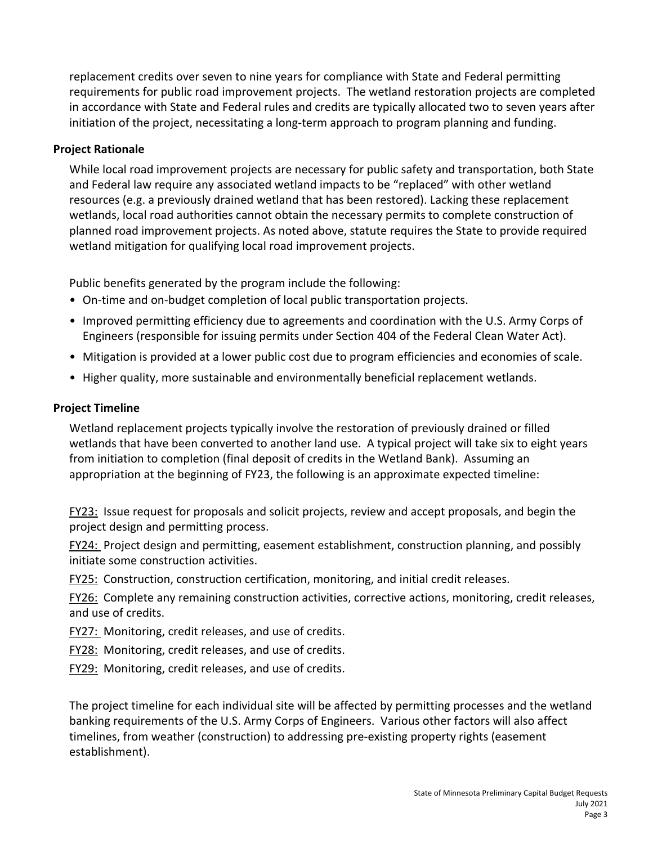replacement credits over seven to nine years for compliance with State and Federal permitting requirements for public road improvement projects. The wetland restoration projects are completed in accordance with State and Federal rules and credits are typically allocated two to seven years after initiation of the project, necessitating a long-term approach to program planning and funding.

# **Project Rationale**

While local road improvement projects are necessary for public safety and transportation, both State and Federal law require any associated wetland impacts to be "replaced" with other wetland resources (e.g. a previously drained wetland that has been restored). Lacking these replacement wetlands, local road authorities cannot obtain the necessary permits to complete construction of planned road improvement projects. As noted above, statute requires the State to provide required wetland mitigation for qualifying local road improvement projects.

Public benefits generated by the program include the following:

- On-time and on-budget completion of local public transportation projects.
- Improved permitting efficiency due to agreements and coordination with the U.S. Army Corps of Engineers (responsible for issuing permits under Section 404 of the Federal Clean Water Act).
- Mitigation is provided at a lower public cost due to program efficiencies and economies of scale.
- Higher quality, more sustainable and environmentally beneficial replacement wetlands.

# **Project Timeline**

Wetland replacement projects typically involve the restoration of previously drained or filled wetlands that have been converted to another land use. A typical project will take six to eight years from initiation to completion (final deposit of credits in the Wetland Bank). Assuming an appropriation at the beginning of FY23, the following is an approximate expected timeline:

FY23: Issue request for proposals and solicit projects, review and accept proposals, and begin the project design and permitting process.

FY24: Project design and permitting, easement establishment, construction planning, and possibly initiate some construction activities.

FY25: Construction, construction certification, monitoring, and initial credit releases.

FY26: Complete any remaining construction activities, corrective actions, monitoring, credit releases, and use of credits.

FY27: Monitoring, credit releases, and use of credits.

FY28: Monitoring, credit releases, and use of credits.

FY29: Monitoring, credit releases, and use of credits.

The project timeline for each individual site will be affected by permitting processes and the wetland banking requirements of the U.S. Army Corps of Engineers. Various other factors will also affect timelines, from weather (construction) to addressing pre-existing property rights (easement establishment).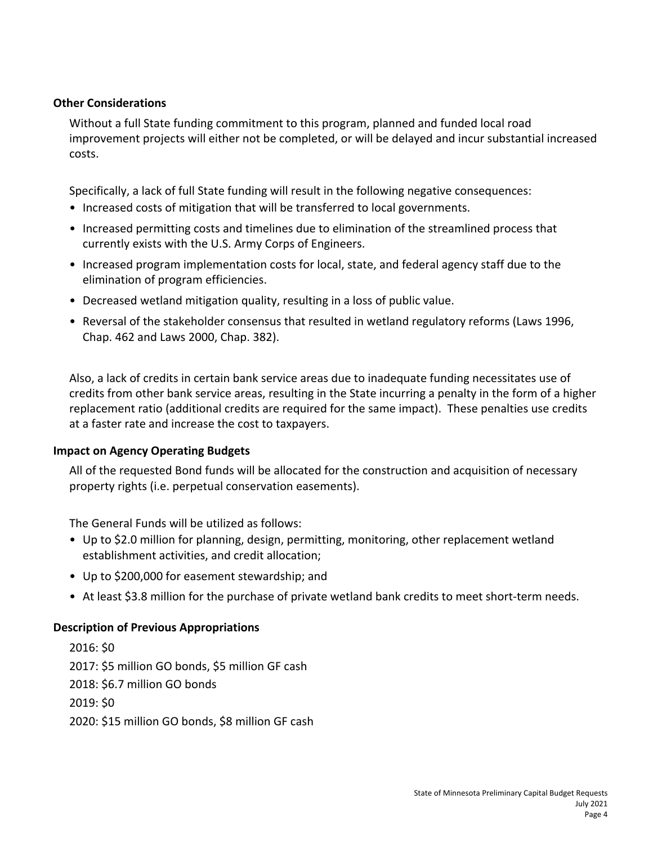# **Other Considerations**

Without a full State funding commitment to this program, planned and funded local road improvement projects will either not be completed, or will be delayed and incur substantial increased costs.

Specifically, a lack of full State funding will result in the following negative consequences:

- Increased costs of mitigation that will be transferred to local governments.
- Increased permitting costs and timelines due to elimination of the streamlined process that currently exists with the U.S. Army Corps of Engineers.
- Increased program implementation costs for local, state, and federal agency staff due to the elimination of program efficiencies.
- Decreased wetland mitigation quality, resulting in a loss of public value.
- Reversal of the stakeholder consensus that resulted in wetland regulatory reforms (Laws 1996, Chap. 462 and Laws 2000, Chap. 382).

Also, a lack of credits in certain bank service areas due to inadequate funding necessitates use of credits from other bank service areas, resulting in the State incurring a penalty in the form of a higher replacement ratio (additional credits are required for the same impact). These penalties use credits at a faster rate and increase the cost to taxpayers.

# **Impact on Agency Operating Budgets**

All of the requested Bond funds will be allocated for the construction and acquisition of necessary property rights (i.e. perpetual conservation easements).

The General Funds will be utilized as follows:

- Up to \$2.0 million for planning, design, permitting, monitoring, other replacement wetland establishment activities, and credit allocation;
- Up to \$200,000 for easement stewardship; and
- At least \$3.8 million for the purchase of private wetland bank credits to meet short-term needs.

# **Description of Previous Appropriations**

2016: \$0 2017: \$5 million GO bonds, \$5 million GF cash 2018: \$6.7 million GO bonds 2019: \$0 2020: \$15 million GO bonds, \$8 million GF cash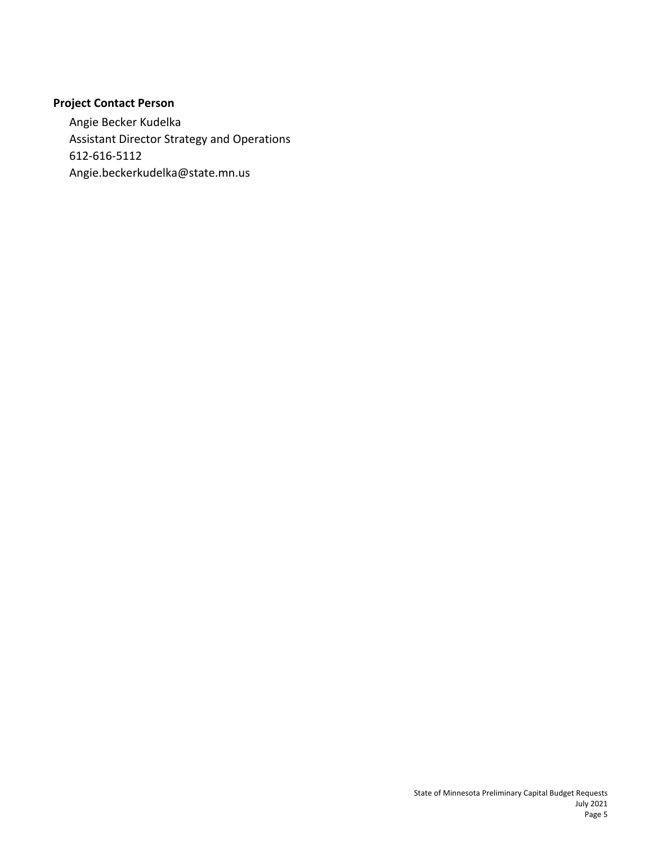# **Project Contact Person**

Angie Becker Kudelka Assistant Director Strategy and Operations 612-616-5112 Angie.beckerkudelka@state.mn.us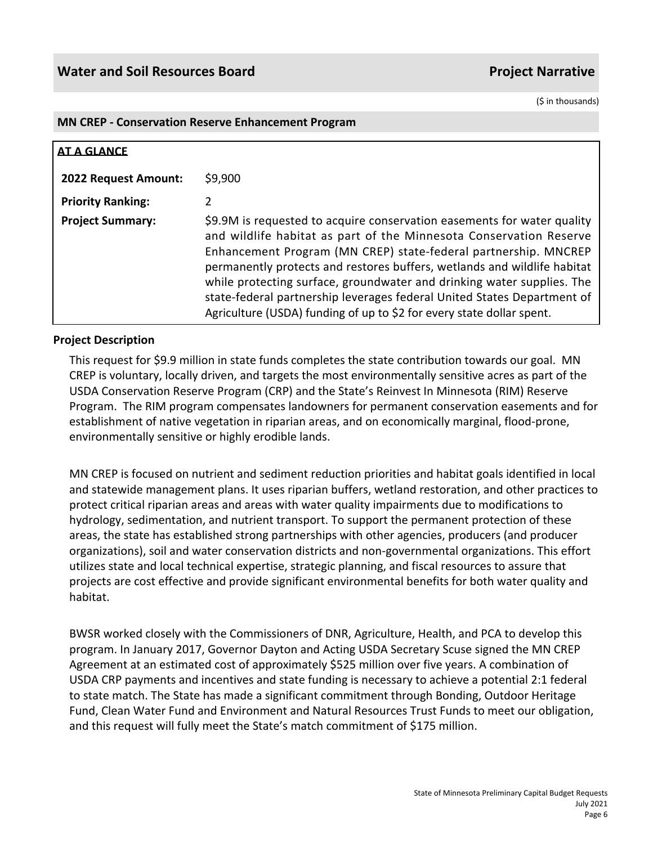#### **MN CREP - Conservation Reserve Enhancement Program**

| <b>AT A GLANCE</b>       |                                                                                                                                                                                                                                                                                                                                                                                                                                                                                                                            |
|--------------------------|----------------------------------------------------------------------------------------------------------------------------------------------------------------------------------------------------------------------------------------------------------------------------------------------------------------------------------------------------------------------------------------------------------------------------------------------------------------------------------------------------------------------------|
| 2022 Request Amount:     | \$9,900                                                                                                                                                                                                                                                                                                                                                                                                                                                                                                                    |
| <b>Priority Ranking:</b> | 2                                                                                                                                                                                                                                                                                                                                                                                                                                                                                                                          |
| <b>Project Summary:</b>  | \$9.9M is requested to acquire conservation easements for water quality<br>and wildlife habitat as part of the Minnesota Conservation Reserve<br>Enhancement Program (MN CREP) state-federal partnership. MNCREP<br>permanently protects and restores buffers, wetlands and wildlife habitat<br>while protecting surface, groundwater and drinking water supplies. The<br>state-federal partnership leverages federal United States Department of<br>Agriculture (USDA) funding of up to \$2 for every state dollar spent. |

# **Project Description**

This request for \$9.9 million in state funds completes the state contribution towards our goal. MN CREP is voluntary, locally driven, and targets the most environmentally sensitive acres as part of the USDA Conservation Reserve Program (CRP) and the State's Reinvest In Minnesota (RIM) Reserve Program. The RIM program compensates landowners for permanent conservation easements and for establishment of native vegetation in riparian areas, and on economically marginal, flood-prone, environmentally sensitive or highly erodible lands.

MN CREP is focused on nutrient and sediment reduction priorities and habitat goals identified in local and statewide management plans. It uses riparian buffers, wetland restoration, and other practices to protect critical riparian areas and areas with water quality impairments due to modifications to hydrology, sedimentation, and nutrient transport. To support the permanent protection of these areas, the state has established strong partnerships with other agencies, producers (and producer organizations), soil and water conservation districts and non-governmental organizations. This effort utilizes state and local technical expertise, strategic planning, and fiscal resources to assure that projects are cost effective and provide significant environmental benefits for both water quality and habitat.

BWSR worked closely with the Commissioners of DNR, Agriculture, Health, and PCA to develop this program. In January 2017, Governor Dayton and Acting USDA Secretary Scuse signed the MN CREP Agreement at an estimated cost of approximately \$525 million over five years. A combination of USDA CRP payments and incentives and state funding is necessary to achieve a potential 2:1 federal to state match. The State has made a significant commitment through Bonding, Outdoor Heritage Fund, Clean Water Fund and Environment and Natural Resources Trust Funds to meet our obligation, and this request will fully meet the State's match commitment of \$175 million.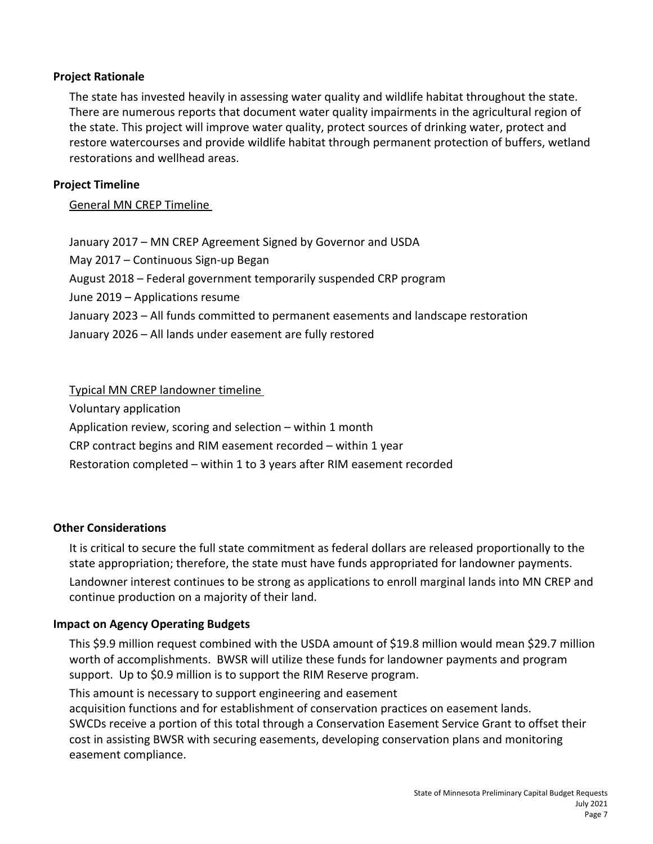# **Project Rationale**

The state has invested heavily in assessing water quality and wildlife habitat throughout the state. There are numerous reports that document water quality impairments in the agricultural region of the state. This project will improve water quality, protect sources of drinking water, protect and restore watercourses and provide wildlife habitat through permanent protection of buffers, wetland restorations and wellhead areas.

# **Project Timeline**

General MN CREP Timeline

January 2017 – MN CREP Agreement Signed by Governor and USDA May 2017 – Continuous Sign-up Began August 2018 – Federal government temporarily suspended CRP program June 2019 – Applications resume January 2023 – All funds committed to permanent easements and landscape restoration January 2026 – All lands under easement are fully restored

Typical MN CREP landowner timeline

Voluntary application

Application review, scoring and selection – within 1 month

CRP contract begins and RIM easement recorded – within 1 year

Restoration completed – within 1 to 3 years after RIM easement recorded

# **Other Considerations**

It is critical to secure the full state commitment as federal dollars are released proportionally to the state appropriation; therefore, the state must have funds appropriated for landowner payments. Landowner interest continues to be strong as applications to enroll marginal lands into MN CREP and continue production on a majority of their land.

# **Impact on Agency Operating Budgets**

This \$9.9 million request combined with the USDA amount of \$19.8 million would mean \$29.7 million worth of accomplishments. BWSR will utilize these funds for landowner payments and program support. Up to \$0.9 million is to support the RIM Reserve program.

This amount is necessary to support engineering and easement

acquisition functions and for establishment of conservation practices on easement lands. SWCDs receive a portion of this total through a Conservation Easement Service Grant to offset their cost in assisting BWSR with securing easements, developing conservation plans and monitoring easement compliance.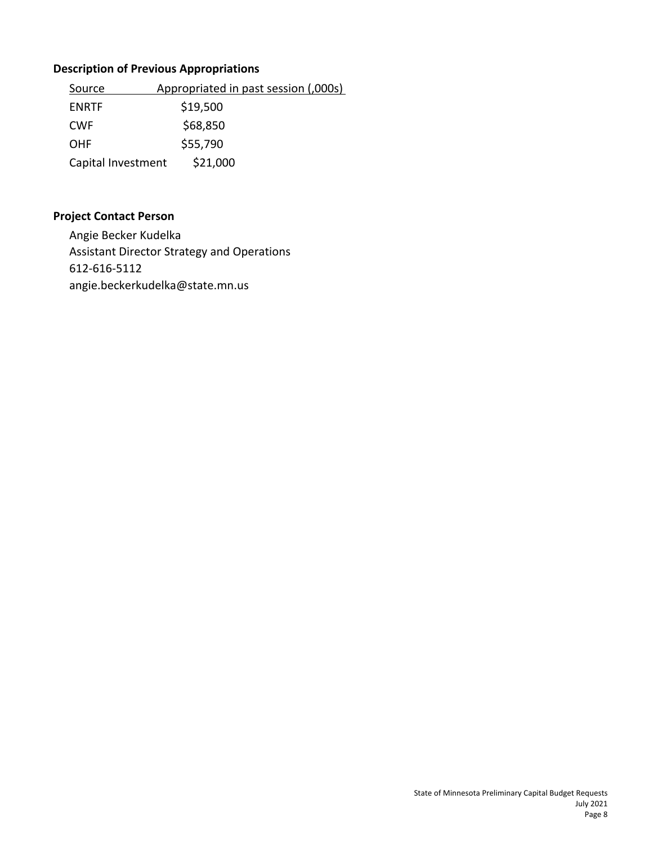# **Description of Previous Appropriations**

| Source             | Appropriated in past session (,000s) |  |
|--------------------|--------------------------------------|--|
| <b>ENRTF</b>       | \$19,500                             |  |
| <b>CWF</b>         | \$68,850                             |  |
| <b>OHF</b>         | \$55,790                             |  |
| Capital Investment | \$21,000                             |  |

# **Project Contact Person**

Angie Becker Kudelka Assistant Director Strategy and Operations 612-616-5112 angie.beckerkudelka@state.mn.us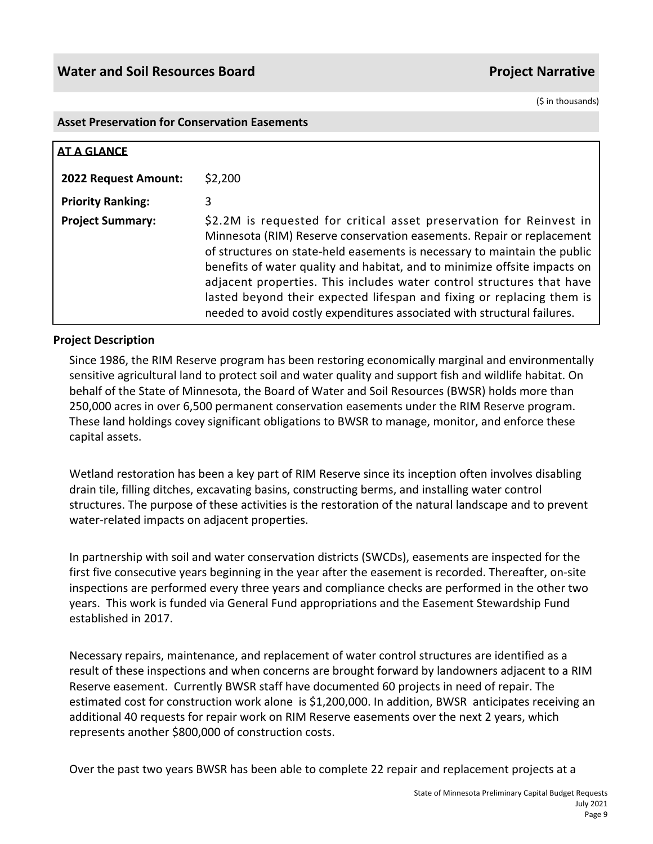#### **Asset Preservation for Conservation Easements**

| <b>AT A GLANCE</b>       |                                                                                                                                                                                                                                                                                                                                                                                                                                                                                                                                      |
|--------------------------|--------------------------------------------------------------------------------------------------------------------------------------------------------------------------------------------------------------------------------------------------------------------------------------------------------------------------------------------------------------------------------------------------------------------------------------------------------------------------------------------------------------------------------------|
| 2022 Request Amount:     | \$2,200                                                                                                                                                                                                                                                                                                                                                                                                                                                                                                                              |
| <b>Priority Ranking:</b> | 3                                                                                                                                                                                                                                                                                                                                                                                                                                                                                                                                    |
| <b>Project Summary:</b>  | \$2.2M is requested for critical asset preservation for Reinvest in<br>Minnesota (RIM) Reserve conservation easements. Repair or replacement<br>of structures on state-held easements is necessary to maintain the public<br>benefits of water quality and habitat, and to minimize offsite impacts on<br>adjacent properties. This includes water control structures that have<br>lasted beyond their expected lifespan and fixing or replacing them is<br>needed to avoid costly expenditures associated with structural failures. |

# **Project Description**

Since 1986, the RIM Reserve program has been restoring economically marginal and environmentally sensitive agricultural land to protect soil and water quality and support fish and wildlife habitat. On behalf of the State of Minnesota, the Board of Water and Soil Resources (BWSR) holds more than 250,000 acres in over 6,500 permanent conservation easements under the RIM Reserve program. These land holdings covey significant obligations to BWSR to manage, monitor, and enforce these capital assets.

Wetland restoration has been a key part of RIM Reserve since its inception often involves disabling drain tile, filling ditches, excavating basins, constructing berms, and installing water control structures. The purpose of these activities is the restoration of the natural landscape and to prevent water-related impacts on adjacent properties.

In partnership with soil and water conservation districts (SWCDs), easements are inspected for the first five consecutive years beginning in the year after the easement is recorded. Thereafter, on-site inspections are performed every three years and compliance checks are performed in the other two years. This work is funded via General Fund appropriations and the Easement Stewardship Fund established in 2017.

Necessary repairs, maintenance, and replacement of water control structures are identified as a result of these inspections and when concerns are brought forward by landowners adjacent to a RIM Reserve easement. Currently BWSR staff have documented 60 projects in need of repair. The estimated cost for construction work alone is \$1,200,000. In addition, BWSR anticipates receiving an additional 40 requests for repair work on RIM Reserve easements over the next 2 years, which represents another \$800,000 of construction costs.

Over the past two years BWSR has been able to complete 22 repair and replacement projects at a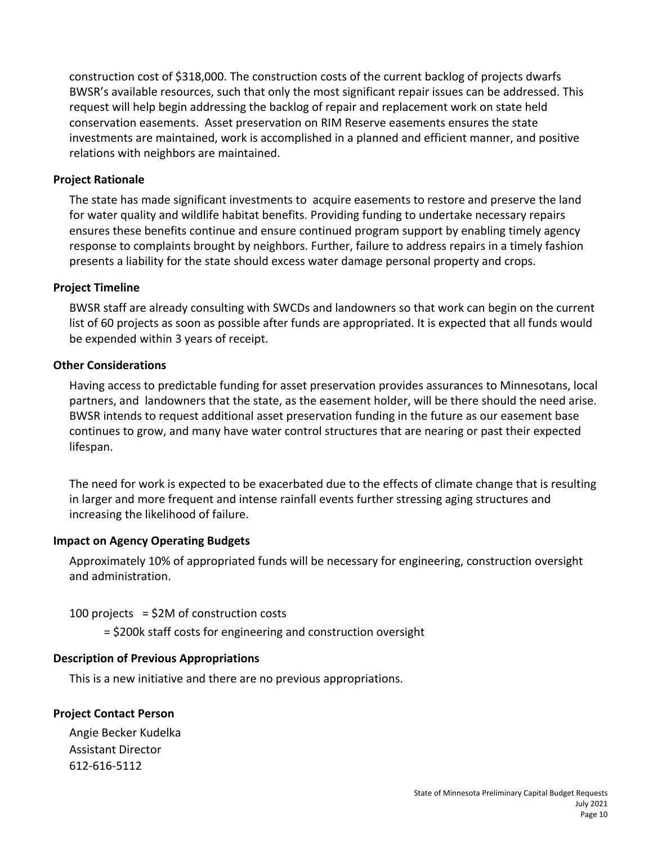construction cost of \$318,000. The construction costs of the current backlog of projects dwarfs BWSR's available resources, such that only the most significant repair issues can be addressed. This request will help begin addressing the backlog of repair and replacement work on state held conservation easements. Asset preservation on RIM Reserve easements ensures the state investments are maintained, work is accomplished in a planned and efficient manner, and positive relations with neighbors are maintained.

#### **Project Rationale**

The state has made significant investments to acquire easements to restore and preserve the land for water quality and wildlife habitat benefits. Providing funding to undertake necessary repairs ensures these benefits continue and ensure continued program support by enabling timely agency response to complaints brought by neighbors. Further, failure to address repairs in a timely fashion presents a liability for the state should excess water damage personal property and crops.

#### **Project Timeline**

BWSR staff are already consulting with SWCDs and landowners so that work can begin on the current list of 60 projects as soon as possible after funds are appropriated. It is expected that all funds would be expended within 3 years of receipt.

#### **Other Considerations**

Having access to predictable funding for asset preservation provides assurances to Minnesotans, local partners, and landowners that the state, as the easement holder, will be there should the need arise. BWSR intends to request additional asset preservation funding in the future as our easement base continues to grow, and many have water control structures that are nearing or past their expected lifespan.

The need for work is expected to be exacerbated due to the effects of climate change that is resulting in larger and more frequent and intense rainfall events further stressing aging structures and increasing the likelihood of failure.

# **Impact on Agency Operating Budgets**

Approximately 10% of appropriated funds will be necessary for engineering, construction oversight and administration.

#### 100 projects =  $$2M$  of construction costs

= \$200k staff costs for engineering and construction oversight

# **Description of Previous Appropriations**

This is a new initiative and there are no previous appropriations.

# **Project Contact Person**

Angie Becker Kudelka Assistant Director 612-616-5112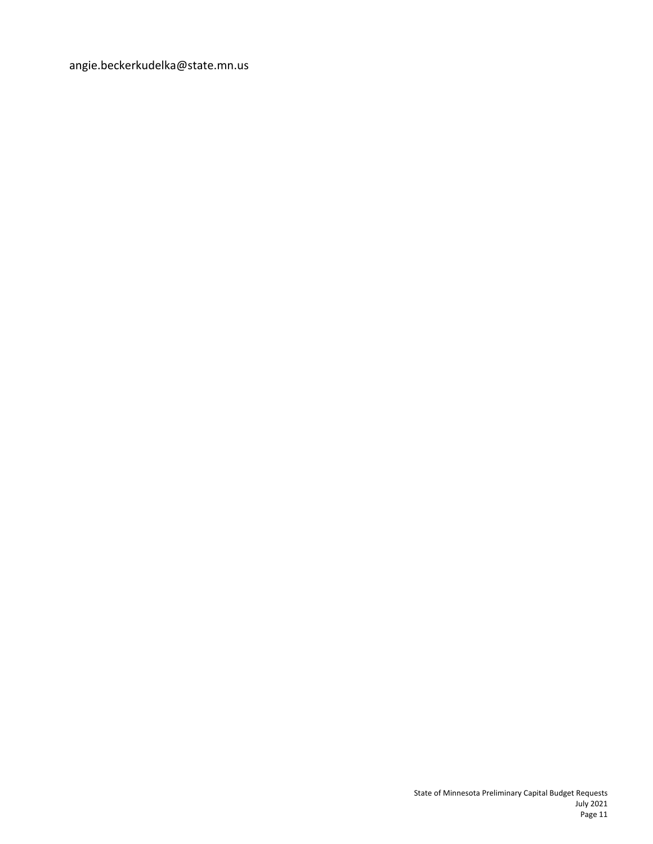angie.beckerkudelka@state.mn.us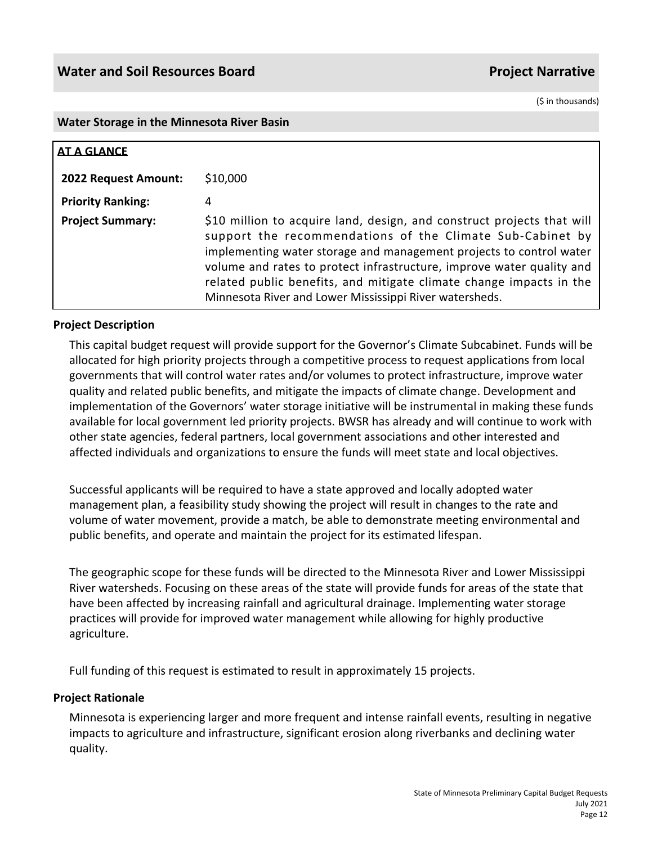#### **Water Storage in the Minnesota River Basin**

| <b>AT A GLANCE</b>       |                                                                                                                                                                                                                                                                                                                                                                                                                       |
|--------------------------|-----------------------------------------------------------------------------------------------------------------------------------------------------------------------------------------------------------------------------------------------------------------------------------------------------------------------------------------------------------------------------------------------------------------------|
| 2022 Request Amount:     | \$10,000                                                                                                                                                                                                                                                                                                                                                                                                              |
| <b>Priority Ranking:</b> | 4                                                                                                                                                                                                                                                                                                                                                                                                                     |
| <b>Project Summary:</b>  | \$10 million to acquire land, design, and construct projects that will<br>support the recommendations of the Climate Sub-Cabinet by<br>implementing water storage and management projects to control water<br>volume and rates to protect infrastructure, improve water quality and<br>related public benefits, and mitigate climate change impacts in the<br>Minnesota River and Lower Mississippi River watersheds. |

# **Project Description**

This capital budget request will provide support for the Governor's Climate Subcabinet. Funds will be allocated for high priority projects through a competitive process to request applications from local governments that will control water rates and/or volumes to protect infrastructure, improve water quality and related public benefits, and mitigate the impacts of climate change. Development and implementation of the Governors' water storage initiative will be instrumental in making these funds available for local government led priority projects. BWSR has already and will continue to work with other state agencies, federal partners, local government associations and other interested and affected individuals and organizations to ensure the funds will meet state and local objectives.

Successful applicants will be required to have a state approved and locally adopted water management plan, a feasibility study showing the project will result in changes to the rate and volume of water movement, provide a match, be able to demonstrate meeting environmental and public benefits, and operate and maintain the project for its estimated lifespan.

The geographic scope for these funds will be directed to the Minnesota River and Lower Mississippi River watersheds. Focusing on these areas of the state will provide funds for areas of the state that have been affected by increasing rainfall and agricultural drainage. Implementing water storage practices will provide for improved water management while allowing for highly productive agriculture.

Full funding of this request is estimated to result in approximately 15 projects.

#### **Project Rationale**

Minnesota is experiencing larger and more frequent and intense rainfall events, resulting in negative impacts to agriculture and infrastructure, significant erosion along riverbanks and declining water quality.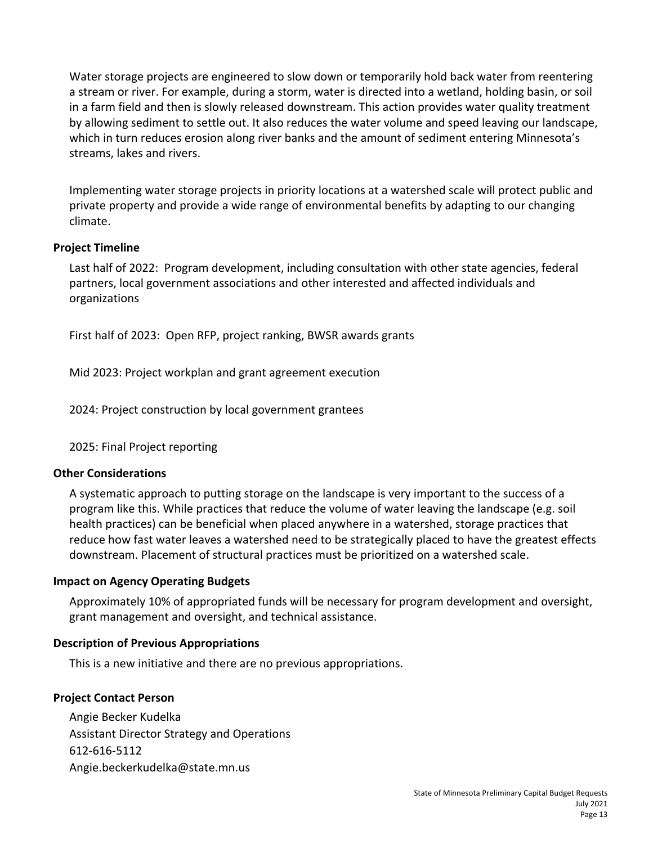Water storage projects are engineered to slow down or temporarily hold back water from reentering a stream or river. For example, during a storm, water is directed into a wetland, holding basin, or soil in a farm field and then is slowly released downstream. This action provides water quality treatment by allowing sediment to settle out. It also reduces the water volume and speed leaving our landscape, which in turn reduces erosion along river banks and the amount of sediment entering Minnesota's streams, lakes and rivers.

Implementing water storage projects in priority locations at a watershed scale will protect public and private property and provide a wide range of environmental benefits by adapting to our changing climate.

# **Project Timeline**

Last half of 2022: Program development, including consultation with other state agencies, federal partners, local government associations and other interested and affected individuals and organizations

First half of 2023: Open RFP, project ranking, BWSR awards grants

Mid 2023: Project workplan and grant agreement execution

2024: Project construction by local government grantees

2025: Final Project reporting

#### **Other Considerations**

A systematic approach to putting storage on the landscape is very important to the success of a program like this. While practices that reduce the volume of water leaving the landscape (e.g. soil health practices) can be beneficial when placed anywhere in a watershed, storage practices that reduce how fast water leaves a watershed need to be strategically placed to have the greatest effects downstream. Placement of structural practices must be prioritized on a watershed scale.

#### **Impact on Agency Operating Budgets**

Approximately 10% of appropriated funds will be necessary for program development and oversight, grant management and oversight, and technical assistance.

#### **Description of Previous Appropriations**

This is a new initiative and there are no previous appropriations.

# **Project Contact Person**

Angie Becker Kudelka Assistant Director Strategy and Operations 612-616-5112 Angie.beckerkudelka@state.mn.us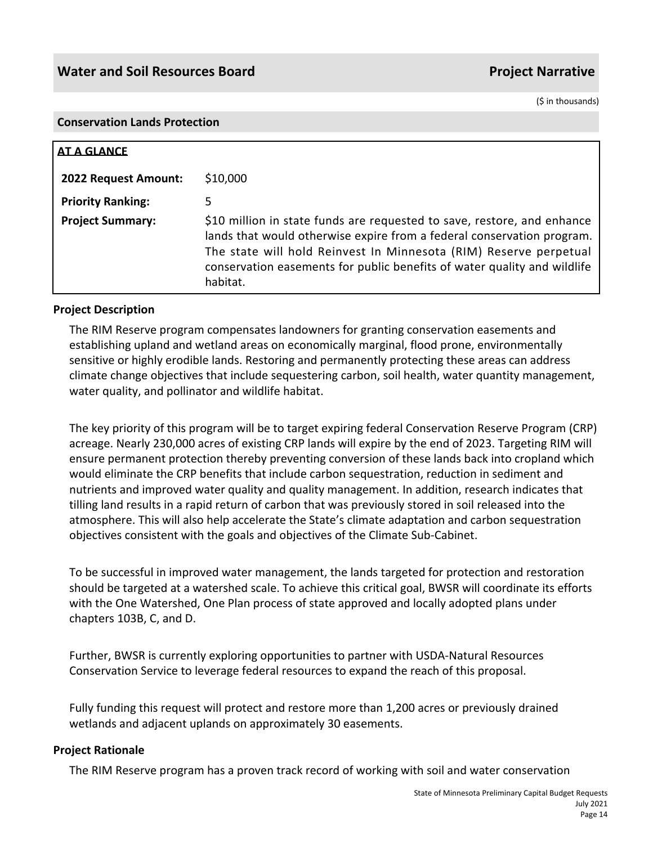#### **Conservation Lands Protection**

| <b>AT A GLANCE</b>       |                                                                                                                                                                                                                                                                                                                |
|--------------------------|----------------------------------------------------------------------------------------------------------------------------------------------------------------------------------------------------------------------------------------------------------------------------------------------------------------|
| 2022 Request Amount:     | \$10,000                                                                                                                                                                                                                                                                                                       |
| <b>Priority Ranking:</b> | 5.                                                                                                                                                                                                                                                                                                             |
| <b>Project Summary:</b>  | \$10 million in state funds are requested to save, restore, and enhance<br>lands that would otherwise expire from a federal conservation program.<br>The state will hold Reinvest In Minnesota (RIM) Reserve perpetual<br>conservation easements for public benefits of water quality and wildlife<br>habitat. |

#### **Project Description**

The RIM Reserve program compensates landowners for granting conservation easements and establishing upland and wetland areas on economically marginal, flood prone, environmentally sensitive or highly erodible lands. Restoring and permanently protecting these areas can address climate change objectives that include sequestering carbon, soil health, water quantity management, water quality, and pollinator and wildlife habitat.

The key priority of this program will be to target expiring federal Conservation Reserve Program (CRP) acreage. Nearly 230,000 acres of existing CRP lands will expire by the end of 2023. Targeting RIM will ensure permanent protection thereby preventing conversion of these lands back into cropland which would eliminate the CRP benefits that include carbon sequestration, reduction in sediment and nutrients and improved water quality and quality management. In addition, research indicates that tilling land results in a rapid return of carbon that was previously stored in soil released into the atmosphere. This will also help accelerate the State's climate adaptation and carbon sequestration objectives consistent with the goals and objectives of the Climate Sub-Cabinet.

To be successful in improved water management, the lands targeted for protection and restoration should be targeted at a watershed scale. To achieve this critical goal, BWSR will coordinate its efforts with the One Watershed, One Plan process of state approved and locally adopted plans under chapters 103B, C, and D.

Further, BWSR is currently exploring opportunities to partner with USDA-Natural Resources Conservation Service to leverage federal resources to expand the reach of this proposal.

Fully funding this request will protect and restore more than 1,200 acres or previously drained wetlands and adjacent uplands on approximately 30 easements.

#### **Project Rationale**

The RIM Reserve program has a proven track record of working with soil and water conservation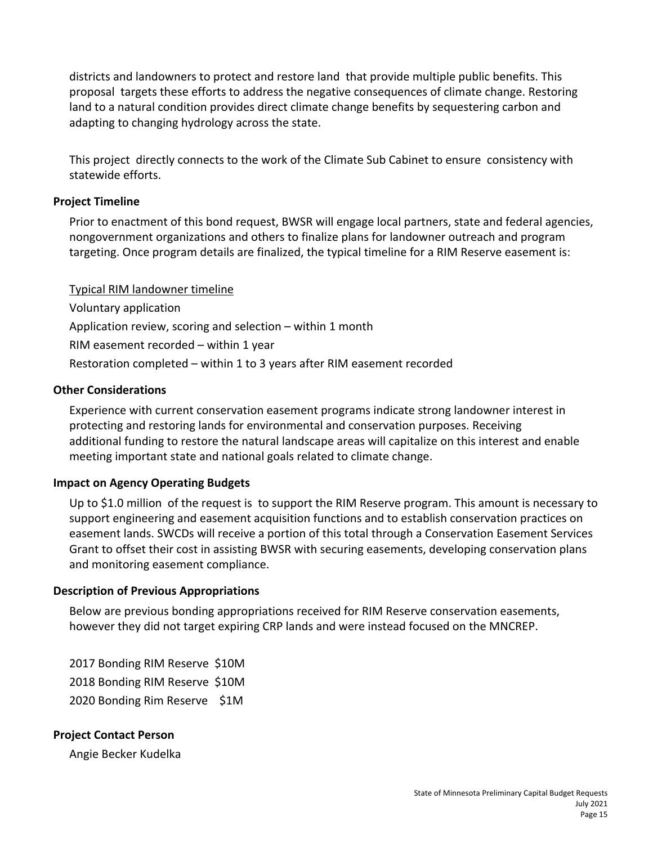districts and landowners to protect and restore land that provide multiple public benefits. This proposal targets these efforts to address the negative consequences of climate change. Restoring land to a natural condition provides direct climate change benefits by sequestering carbon and adapting to changing hydrology across the state.

This project directly connects to the work of the Climate Sub Cabinet to ensure consistency with statewide efforts.

# **Project Timeline**

Prior to enactment of this bond request, BWSR will engage local partners, state and federal agencies, nongovernment organizations and others to finalize plans for landowner outreach and program targeting. Once program details are finalized, the typical timeline for a RIM Reserve easement is:

Typical RIM landowner timeline Voluntary application Application review, scoring and selection – within 1 month RIM easement recorded – within 1 year Restoration completed – within 1 to 3 years after RIM easement recorded

# **Other Considerations**

Experience with current conservation easement programs indicate strong landowner interest in protecting and restoring lands for environmental and conservation purposes. Receiving additional funding to restore the natural landscape areas will capitalize on this interest and enable meeting important state and national goals related to climate change.

# **Impact on Agency Operating Budgets**

Up to \$1.0 million of the request is to support the RIM Reserve program. This amount is necessary to support engineering and easement acquisition functions and to establish conservation practices on easement lands. SWCDs will receive a portion of this total through a Conservation Easement Services Grant to offset their cost in assisting BWSR with securing easements, developing conservation plans and monitoring easement compliance.

# **Description of Previous Appropriations**

Below are previous bonding appropriations received for RIM Reserve conservation easements, however they did not target expiring CRP lands and were instead focused on the MNCREP.

2017 Bonding RIM Reserve \$10M 2018 Bonding RIM Reserve \$10M 2020 Bonding Rim Reserve \$1M

# **Project Contact Person**

Angie Becker Kudelka